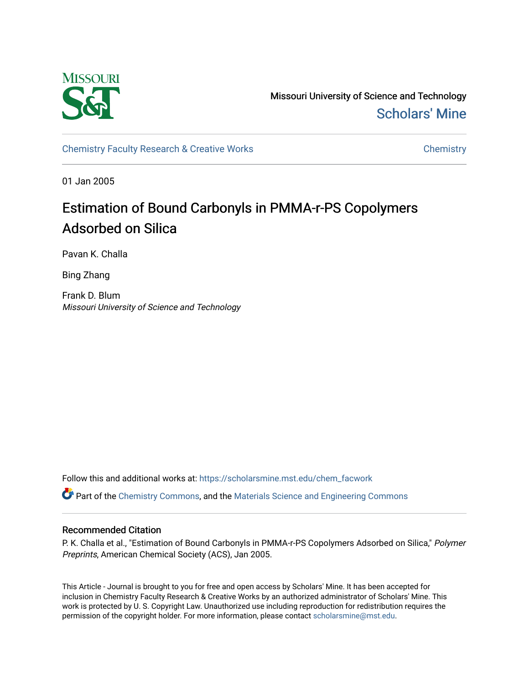

Missouri University of Science and Technology [Scholars' Mine](https://scholarsmine.mst.edu/) 

[Chemistry Faculty Research & Creative Works](https://scholarsmine.mst.edu/chem_facwork) [Chemistry](https://scholarsmine.mst.edu/chem) Chemistry

01 Jan 2005

# Estimation of Bound Carbonyls in PMMA-r-PS Copolymers Adsorbed on Silica

Pavan K. Challa

Bing Zhang

Frank D. Blum Missouri University of Science and Technology

Follow this and additional works at: [https://scholarsmine.mst.edu/chem\\_facwork](https://scholarsmine.mst.edu/chem_facwork?utm_source=scholarsmine.mst.edu%2Fchem_facwork%2F2409&utm_medium=PDF&utm_campaign=PDFCoverPages)

Part of the [Chemistry Commons,](http://network.bepress.com/hgg/discipline/131?utm_source=scholarsmine.mst.edu%2Fchem_facwork%2F2409&utm_medium=PDF&utm_campaign=PDFCoverPages) and the [Materials Science and Engineering Commons](http://network.bepress.com/hgg/discipline/285?utm_source=scholarsmine.mst.edu%2Fchem_facwork%2F2409&utm_medium=PDF&utm_campaign=PDFCoverPages)

# Recommended Citation

P. K. Challa et al., "Estimation of Bound Carbonyls in PMMA-r-PS Copolymers Adsorbed on Silica," Polymer Preprints, American Chemical Society (ACS), Jan 2005.

This Article - Journal is brought to you for free and open access by Scholars' Mine. It has been accepted for inclusion in Chemistry Faculty Research & Creative Works by an authorized administrator of Scholars' Mine. This work is protected by U. S. Copyright Law. Unauthorized use including reproduction for redistribution requires the permission of the copyright holder. For more information, please contact [scholarsmine@mst.edu](mailto:scholarsmine@mst.edu).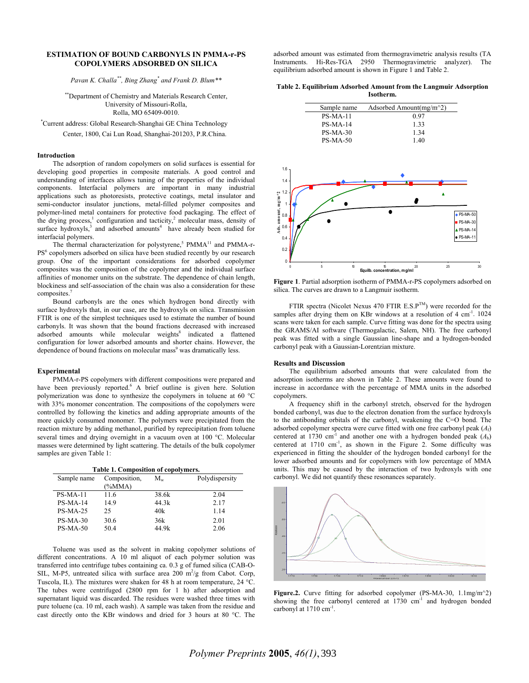# **ESTIMATION OF BOUND CARBONYLS IN PMMA-r-PS COPOLYMERS ADSORBED ON SILICA**

*Pavan K. Challa\*\*, Bing Zhang\* and Frank D. Blum\*\** 

\*\*Department of Chemistry and Materials Research Center, University of Missouri-Rolla, Rolla, MO 65409-0010.

\* Current address: Global Research-Shanghai GE China Technology

Center, 1800, Cai Lun Road, Shanghai-201203, P.R.China.

# **Introduction**

The adsorption of random copolymers on solid surfaces is essential for developing good properties in composite materials. A good control and understanding of interfaces allows tuning of the properties of the individual components. Interfacial polymers are important in many industrial applications such as photoresists, protective coatings, metal insulator and semi-conductor insulator junctions, metal-filled polymer composites and polymer-lined metal containers for protective food packaging. The effect of the drying process,<sup>1</sup> configuration and tacticity,<sup>2</sup> molecular mass, density of surface hydroxyls, $3$  and adsorbed amounts<sup>4</sup> have already been studied for interfacial polymers.

The thermal characterization for polystyrene,<sup>5</sup> PMMA<sup>11</sup> and PMMA-r-PS<sup>6</sup> copolymers adsorbed on silica have been studied recently by our research group. One of the important considerations for adsorbed copolymer composites was the composition of the copolymer and the individual surface affinities of monomer units on the substrate. The dependence of chain length, blockiness and self-association of the chain was also a consideration for these composites.<sup>7</sup>

Bound carbonyls are the ones which hydrogen bond directly with surface hydroxyls that, in our case, are the hydroxyls on silica. Transmission FTIR is one of the simplest techniques used to estimate the number of bound carbonyls. It was shown that the bound fractions decreased with increased adsorbed amounts while molecular weights<sup>8</sup> indicated a flattened configuration for lower adsorbed amounts and shorter chains. However, the dependence of bound fractions on molecular mass<sup>9</sup> was dramatically less.

### **Experimental**

PMMA-r-PS copolymers with different compositions were prepared and have been previously reported.<sup>6</sup> A brief outline is given here. Solution polymerization was done to synthesize the copolymers in toluene at 60 °C with 33% monomer concentration. The compositions of the copolymers were controlled by following the kinetics and adding appropriate amounts of the more quickly consumed monomer. The polymers were precipitated from the reaction mixture by adding methanol, purified by reprecipitation from toluene several times and drying overnight in a vacuum oven at 100 °C. Molecular masses were determined by light scattering. The details of the bulk copolymer samples are given Table 1:

| Table 1. Composition of copolymers. |  |  |  |  |
|-------------------------------------|--|--|--|--|
|-------------------------------------|--|--|--|--|

| Sample name | Composition.<br>$(\%MMA)$ | $M_{w}$ | Polydispersity |
|-------------|---------------------------|---------|----------------|
| $PS-MA-11$  | 11.6                      | 38.6k   | 2.04           |
| $PS-MA-14$  | 14.9                      | 44.3k   | 2.17           |
| $PS-MA-25$  | 25                        | 40k     | 1.14           |
| $PS-MA-30$  | 30.6                      | 36k     | 2.01           |
| $PS-MA-50$  | 50.4                      | 44.9k   | 2.06           |

Toluene was used as the solvent in making copolymer solutions of different concentrations. A 10 ml aliquot of each polymer solution was transferred into centrifuge tubes containing ca. 0.3 g of fumed silica (CAB-O-SIL, M-P5, untreated silica with surface area 200  $m^2/g$  from Cabot. Corp, Tuscola, IL). The mixtures were shaken for 48 h at room temperature, 24 °C. The tubes were centrifuged (2800 rpm for 1 h) after adsorption and supernatant liquid was discarded. The residues were washed three times with pure toluene (ca. 10 ml, each wash). A sample was taken from the residue and cast directly onto the KBr windows and dried for 3 hours at 80 °C. The

adsorbed amount was estimated from thermogravimetric analysis results (TA Instruments. Hi-Res-TGA 2950 Thermogravimetric analyzer). The equilibrium adsorbed amount is shown in Figure 1 and Table 2.

**Table 2. Equilibrium Adsorbed Amount from the Langmuir Adsorption Isotherm.** 

| Sample name     | Adsorbed Amount $(mg/m^2)$ |
|-----------------|----------------------------|
| PS-MA-11        | 0.97                       |
| $PS-MA-14$      | 1.33                       |
| $PS-MA-30$      | 1 34                       |
| <b>PS-MA-50</b> | 140                        |



**Figure 1**. Partial adsorption isotherm of PMMA-r-PS copolymers adsorbed on silica. The curves are drawn to a Langmuir isotherm.

FTIR spectra (Nicolet Nexus 470 FTIR E.S.P<sup>TM</sup>) were recorded for the samples after drying them on KBr windows at a resolution of 4 cm<sup>-1</sup>. 1024 scans were taken for each sample. Curve fitting was done for the spectra using the GRAMS/AI software (Thermogalactic, Salem, NH). The free carbonyl peak was fitted with a single Gaussian line-shape and a hydrogen-bonded carbonyl peak with a Gaussian-Lorentzian mixture.

#### **Results and Discussion**

The equilibrium adsorbed amounts that were calculated from the adsorption isotherms are shown in Table 2. These amounts were found to increase in accordance with the percentage of MMA units in the adsorbed copolymers.

A frequency shift in the carbonyl stretch, observed for the hydrogen bonded carbonyl, was due to the electron donation from the surface hydroxyls to the antibonding orbitals of the carbonyl, weakening the C=O bond. The adsorbed copolymer spectra were curve fitted with one free carbonyl peak (*A*f) centered at 1730 cm<sup>-1</sup> and another one with a hydrogen bonded peak  $(A<sub>b</sub>)$ centered at 1710 cm<sup>-1</sup>, as shown in the Figure 2. Some difficulty was experienced in fitting the shoulder of the hydrogen bonded carbonyl for the lower adsorbed amounts and for copolymers with low percentage of MMA units. This may be caused by the interaction of two hydroxyls with one carbonyl. We did not quantify these resonances separately.



Figure.2. Curve fitting for adsorbed copolymer (PS-MA-30, 1.1mg/m<sup>2</sup>) showing the free carbonyl centered at 1730 cm<sup>-1</sup> and hydrogen bonded carbonyl at 1710 cm-1.